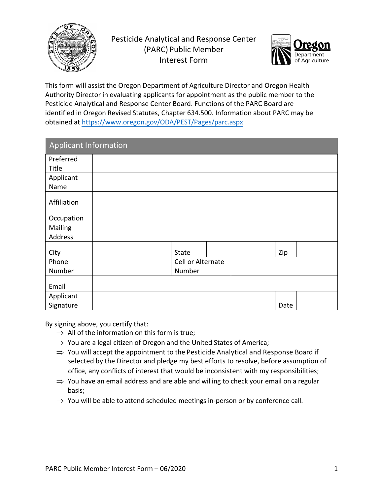

Pesticide Analytical and Response Center (PARC) Public Member Interest Form



This form will assist the Oregon Department of Agriculture Director and Oregon Health Authority Director in evaluating applicants for appointment as the public member to the Pesticide Analytical and Response Center Board. Functions of the PARC Board are identified in Oregon Revised Statutes, Chapter 634.500. Information about PARC may be obtained at https://www.oregon.gov/ODA/PEST/Pages/parc.aspx

| <b>Applicant Information</b> |                   |      |
|------------------------------|-------------------|------|
| Preferred                    |                   |      |
| Title                        |                   |      |
| Applicant                    |                   |      |
| Name                         |                   |      |
| Affiliation                  |                   |      |
| Occupation                   |                   |      |
| Mailing                      |                   |      |
| Address                      |                   |      |
| City                         | State             | Zip  |
| Phone                        | Cell or Alternate |      |
| Number                       | Number            |      |
| Email                        |                   |      |
| Applicant                    |                   |      |
| Signature                    |                   | Date |

By signing above, you certify that:

- $\Rightarrow$  All of the information on this form is true;
- $\Rightarrow$  You are a legal citizen of Oregon and the United States of America;
- $\Rightarrow$  You will accept the appointment to the Pesticide Analytical and Response Board if selected by the Director and pledge my best efforts to resolve, before assumption of office, any conflicts of interest that would be inconsistent with my responsibilities;
- $\Rightarrow$  You have an email address and are able and willing to check your email on a regular basis;
- $\Rightarrow$  You will be able to attend scheduled meetings in-person or by conference call.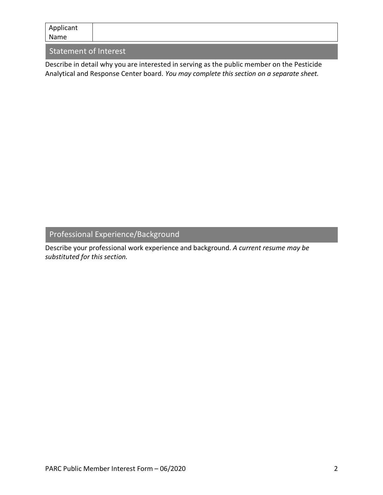| Applicant |  |
|-----------|--|
| Name      |  |
|           |  |

#### Statement of Interest

Describe in detail why you are interested in serving as the public member on the Pesticide Analytical and Response Center board. *You may complete this section on a separate sheet.*

# Professional Experience/Background

Describe your professional work experience and background. *A current resume may be substituted for this section.*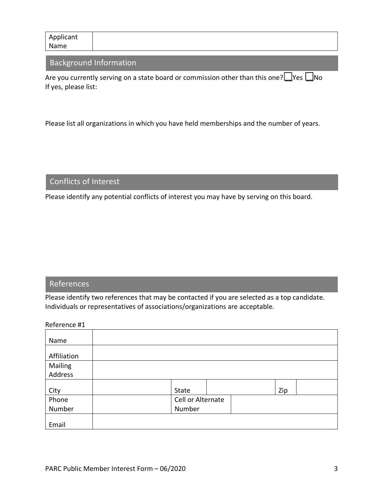| Applicant |  |
|-----------|--|
| Name      |  |

## Background Information

| Are you currently serving on a state board or commission other than this one? $\Box$ Yes $\Box$ No |  |  |
|----------------------------------------------------------------------------------------------------|--|--|
| If yes, please list:                                                                               |  |  |

Please list all organizations in which you have held memberships and the number of years.

## Conflicts of Interest

Please identify any potential conflicts of interest you may have by serving on this board.

#### References

Please identify two references that may be contacted if you are selected as a top candidate. Individuals or representatives of associations/organizations are acceptable.

| Reference #1 |                   |     |
|--------------|-------------------|-----|
| Name         |                   |     |
| Affiliation  |                   |     |
| Mailing      |                   |     |
| Address      |                   |     |
| City         | State             | Zip |
| Phone        | Cell or Alternate |     |
| Number       | Number            |     |
| Email        |                   |     |